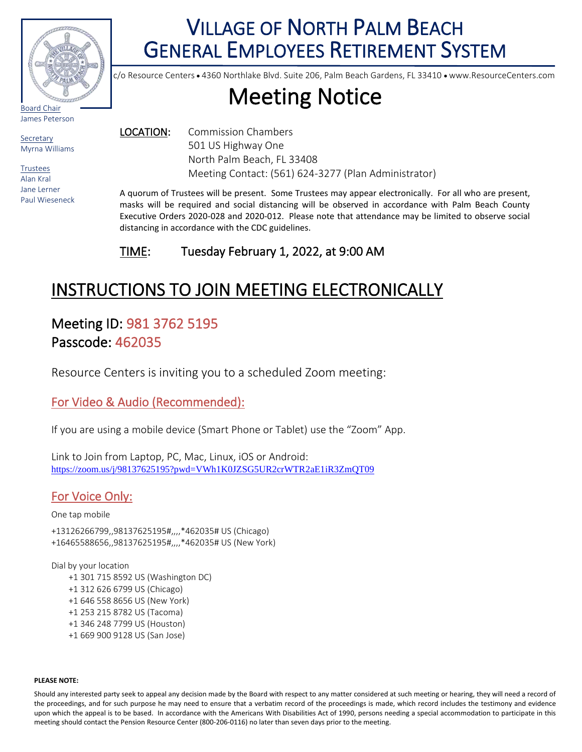

# VILLAGE OF NORTH PALM BEACH GENERAL EMPLOYEES RETIREMENT SYSTEM

c/o Resource Centers • 4360 Northlake Blvd. Suite 206, Palm Beach Gardens, FL 33410 • www.ResourceCenters.com

# Meeting Notice

James Peterson

Secretary Myrna Williams

Trustees Alan Kral Jane Lerner Paul Wieseneck LOCATION: Commission Chambers 501 US Highway One North Palm Beach, FL 33408 Meeting Contact: (561) 624-3277 (Plan Administrator)

A quorum of Trustees will be present. Some Trustees may appear electronically. For all who are present, masks will be required and social distancing will be observed in accordance with Palm Beach County Executive Orders 2020-028 and 2020-012. Please note that attendance may be limited to observe social distancing in accordance with the CDC guidelines.

TIME: Tuesday February 1, 2022, at 9:00 AM

## INSTRUCTIONS TO JOIN MEETING ELECTRONICALLY

## Meeting ID: 981 3762 5195 Passcode: 462035

Resource Centers is inviting you to a scheduled Zoom meeting:

### For Video & Audio (Recommended):

If you are using a mobile device (Smart Phone or Tablet) use the "Zoom" App.

Link to Join from Laptop, PC, Mac, Linux, iOS or Android: <https://zoom.us/j/98137625195?pwd=VWh1K0JZSG5UR2crWTR2aE1iR3ZmQT09>

## For Voice Only:

One tap mobile

+13126266799,,98137625195#,,,,\*462035# US (Chicago) +16465588656,,98137625195#,,,,\*462035# US (New York)

Dial by your location +1 301 715 8592 US (Washington DC) +1 312 626 6799 US (Chicago) +1 646 558 8656 US (New York) +1 253 215 8782 US (Tacoma) +1 346 248 7799 US (Houston) +1 669 900 9128 US (San Jose)

#### **PLEASE NOTE:**

Should any interested party seek to appeal any decision made by the Board with respect to any matter considered at such meeting or hearing, they will need a record of the proceedings, and for such purpose he may need to ensure that a verbatim record of the proceedings is made, which record includes the testimony and evidence upon which the appeal is to be based. In accordance with the Americans With Disabilities Act of 1990, persons needing a special accommodation to participate in this meeting should contact the Pension Resource Center (800-206-0116) no later than seven days prior to the meeting.